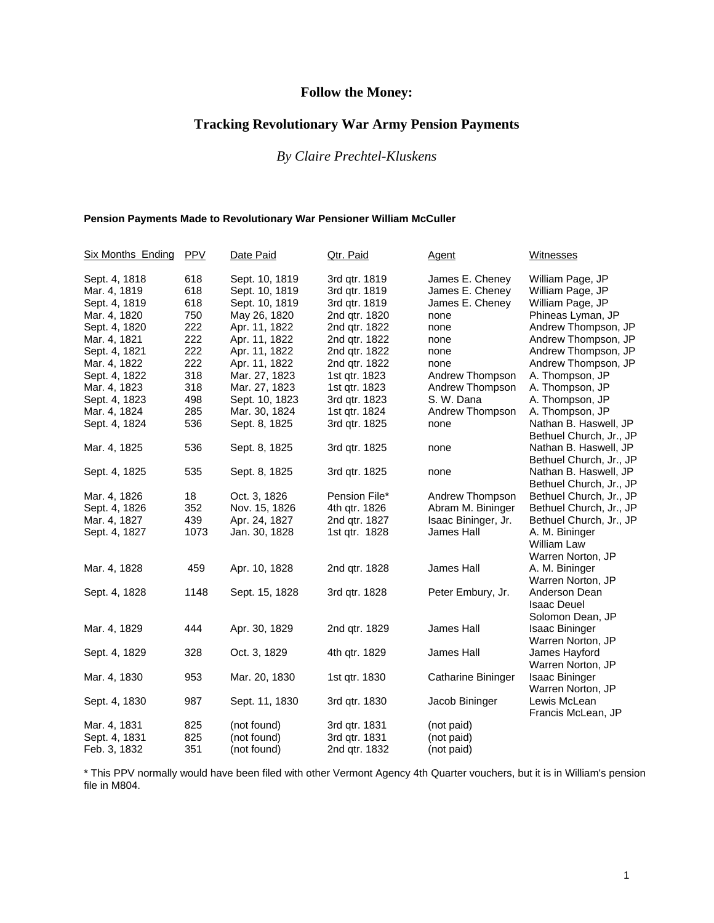# **Follow the Money:**

# **Tracking Revolutionary War Army Pension Payments**

# *By Claire Prechtel-Kluskens*

#### **Pension Payments Made to Revolutionary War Pensioner William McCuller**

| Six Months Ending PPV |      | Date Paid      | Qtr. Paid     | <b>Agent</b>        | <b>Witnesses</b>        |
|-----------------------|------|----------------|---------------|---------------------|-------------------------|
| Sept. 4, 1818         | 618  | Sept. 10, 1819 | 3rd qtr. 1819 | James E. Cheney     | William Page, JP        |
| Mar. 4, 1819          | 618  | Sept. 10, 1819 | 3rd gtr. 1819 | James E. Cheney     | William Page, JP        |
| Sept. 4, 1819         | 618  | Sept. 10, 1819 | 3rd qtr. 1819 | James E. Cheney     | William Page, JP        |
| Mar. 4, 1820          | 750  | May 26, 1820   | 2nd qtr. 1820 | none                | Phineas Lyman, JP       |
| Sept. 4, 1820         | 222  | Apr. 11, 1822  | 2nd qtr. 1822 | none                | Andrew Thompson, JP     |
| Mar. 4, 1821          | 222  | Apr. 11, 1822  | 2nd qtr. 1822 | none                | Andrew Thompson, JP     |
| Sept. 4, 1821         | 222  | Apr. 11, 1822  | 2nd qtr. 1822 | none                | Andrew Thompson, JP     |
| Mar. 4, 1822          | 222  | Apr. 11, 1822  | 2nd gtr. 1822 | none                | Andrew Thompson, JP     |
| Sept. 4, 1822         | 318  | Mar. 27, 1823  | 1st qtr. 1823 | Andrew Thompson     | A. Thompson, JP         |
| Mar. 4, 1823          | 318  | Mar. 27, 1823  | 1st gtr. 1823 | Andrew Thompson     | A. Thompson, JP         |
| Sept. 4, 1823         | 498  | Sept. 10, 1823 | 3rd qtr. 1823 | S. W. Dana          | A. Thompson, JP         |
| Mar. 4, 1824          | 285  | Mar. 30, 1824  | 1st qtr. 1824 | Andrew Thompson     | A. Thompson, JP         |
| Sept. 4, 1824         | 536  | Sept. 8, 1825  | 3rd qtr. 1825 | none                | Nathan B. Haswell, JP   |
|                       |      |                |               |                     | Bethuel Church, Jr., JP |
| Mar. 4, 1825          | 536  | Sept. 8, 1825  | 3rd qtr. 1825 | none                | Nathan B. Haswell, JP   |
|                       |      |                |               |                     | Bethuel Church, Jr., JP |
| Sept. 4, 1825         | 535  | Sept. 8, 1825  | 3rd qtr. 1825 | none                | Nathan B. Haswell, JP   |
|                       |      |                |               |                     | Bethuel Church, Jr., JP |
| Mar. 4, 1826          | 18   | Oct. 3, 1826   | Pension File* | Andrew Thompson     | Bethuel Church, Jr., JP |
| Sept. 4, 1826         | 352  | Nov. 15, 1826  | 4th qtr. 1826 | Abram M. Bininger   | Bethuel Church, Jr., JP |
| Mar. 4, 1827          | 439  | Apr. 24, 1827  | 2nd qtr. 1827 | Isaac Bininger, Jr. | Bethuel Church, Jr., JP |
| Sept. 4, 1827         | 1073 | Jan. 30, 1828  | 1st qtr. 1828 | James Hall          | A. M. Bininger          |
|                       |      |                |               |                     | <b>William Law</b>      |
|                       |      |                |               |                     | Warren Norton, JP       |
| Mar. 4, 1828          | 459  | Apr. 10, 1828  | 2nd qtr. 1828 | James Hall          | A. M. Bininger          |
|                       |      |                |               |                     | Warren Norton, JP       |
| Sept. 4, 1828         | 1148 | Sept. 15, 1828 | 3rd qtr. 1828 | Peter Embury, Jr.   | Anderson Dean           |
|                       |      |                |               |                     | <b>Isaac Deuel</b>      |
|                       |      |                |               |                     | Solomon Dean, JP        |
| Mar. 4, 1829          | 444  | Apr. 30, 1829  | 2nd qtr. 1829 | James Hall          | <b>Isaac Bininger</b>   |
|                       |      |                |               |                     | Warren Norton, JP       |
| Sept. 4, 1829         | 328  | Oct. 3, 1829   | 4th qtr. 1829 | James Hall          | James Hayford           |
|                       |      |                |               |                     | Warren Norton, JP       |
| Mar. 4, 1830          | 953  | Mar. 20, 1830  | 1st qtr. 1830 | Catharine Bininger  | <b>Isaac Bininger</b>   |
|                       |      |                |               |                     | Warren Norton, JP       |
| Sept. 4, 1830         | 987  | Sept. 11, 1830 | 3rd qtr. 1830 | Jacob Bininger      | Lewis McLean            |
|                       |      |                |               |                     | Francis McLean, JP      |
| Mar. 4, 1831          | 825  | (not found)    | 3rd qtr. 1831 | (not paid)          |                         |
| Sept. 4, 1831         | 825  | (not found)    | 3rd qtr. 1831 | (not paid)          |                         |
| Feb. 3, 1832          | 351  | (not found)    | 2nd qtr. 1832 | (not paid)          |                         |

\* This PPV normally would have been filed with other Vermont Agency 4th Quarter vouchers, but it is in William's pension file in M804.